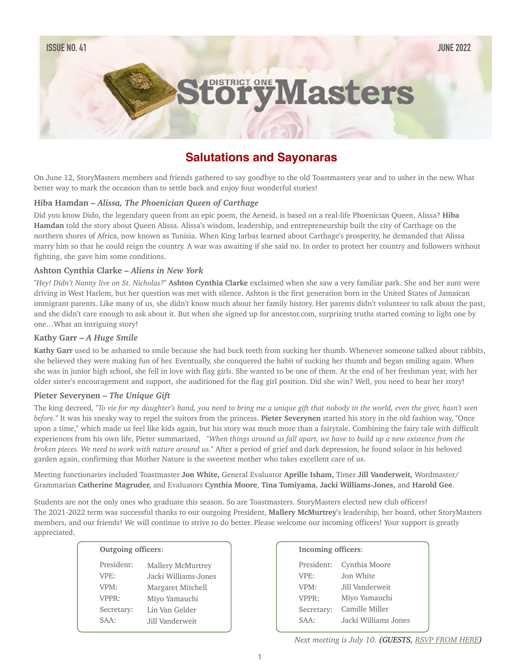# **COTYMasters**

# **Salutations and Sayonaras**

On June 12, StoryMasters members and friends gathered to say goodbye to the old Toastmasters year and to usher in the new. What better way to mark the occasion than to settle back and enjoy four wonderful stories!

## **Hiba Hamdan –** *Alissa, The Phoenician Queen of Carthage*

Did you know Dido, the legendary queen from an epic poem, the Aeneid, is based on a real-life Phoenician Queen, Alissa? **Hiba Hamdan** told the story about Queen Alissa. Alissa's wisdom, leadership, and entrepreneurship built the city of Carthage on the northern shores of Africa, now known as Tunisia. When King Iarbas learned about Carthage's prosperity, he demanded that Alissa marry him so that he could reign the country. A war was awaiting if she said no. In order to protect her country and followers without fighting, she gave him some conditions.

#### **Ashton Cynthia Clarke –** *Aliens in New York*

"*Hey! Didn't Nanny live on St. Nicholas?*" **Ashton Cynthia Clarke** exclaimed when she saw a very familiar park. She and her aunt were driving in West Harlem, but her question was met with silence. Ashton is the first generation born in the United States of Jamaican immigrant parents. Like many of us, she didn't know much about her family history. Her parents didn't volunteer to talk about the past, and she didn't care enough to ask about it. But when she signed up for ancestor.com, surprising truths started coming to light one by one…What an intriguing story!

#### **Kathy Garr –** *A Huge Smile*

**Kathy Garr** used to be ashamed to smile because she had buck teeth from sucking her thumb. Whenever someone talked about rabbits, she believed they were making fun of her. Eventually, she conquered the habit of sucking her thumb and began smiling again. When she was in junior high school, she fell in love with flag girls. She wanted to be one of them. At the end of her freshman year, with her older sister's encouragement and support, she auditioned for the flag girl position. Did she win? Well, you need to hear her story!

#### **Pieter Severynen –** *The Unique Gift*

The king decreed, "*To vie for my daughter's hand, you need to bring me a unique gift that nobody in the world, even the giver, hasn't seen before.*" It was his sneaky way to repel the suitors from the princess. **Pieter Severynen** started his story in the old fashion way, "Once upon a time," which made us feel like kids again, but his story was much more than a fairytale. Combining the fairy tale with difficult experiences from his own life, Pieter summarized, "*When things around us fall apart, we have to build up a new existence from the broken pieces. We need to work with nature around us.*" After a period of grief and dark depression, he found solace in his beloved garden again, confirming that Mother Nature is the sweetest mother who takes excellent care of us.

Meeting functionaries included Toastmaster **Jon White,** General Evaluator **Aprille Isham,** Timer **Jill Vanderweit,** Wordmaster**/** Grammarian **Catherine Magruder,** and Evaluators **Cynthia Moore**, **Tina Tomiyama**, **Jacki Williams-Jones,** and **Harold Gee**.

Students are not the only ones who graduate this season. So are Toastmasters. StoryMasters elected new club officers! The 2021-2022 term was successful thanks to our outgoing President, **Mallery McMurtrey**'s leadership, her board, other StoryMasters members, and our friends! We will continue to strive to do better. Please welcome our incoming officers! Your support is greatly appreciated.

#### **Outgoing officers**: President:  $M = 11$

| LICOIUCIII. | Maliery McMurricy    |
|-------------|----------------------|
| VPE:        | Jacki Williams-Jones |
| VPM:        | Margaret Mitchell    |
| VPPR:       | Miyo Yamauchi        |
| Secretary:  | Lin Van Gelder       |
| SAA:        | Jill Vanderweit      |
|             |                      |

| Incoming officers: |                      |
|--------------------|----------------------|
| President:         | Cynthia Moore        |
| VPF:               | Jon White            |
| VPM:               | Jill Vanderweit.     |
| VPPR:              | Miyo Yamauchi        |
| Secretary:         | Camille Miller       |
| SAA.               | Jacki Williams Jones |
|                    |                      |

*Next meeting is July 10. (GUESTS, [RSVP FROM HERE](https://forms.gle/oYUUiBFeLna5uZL38))*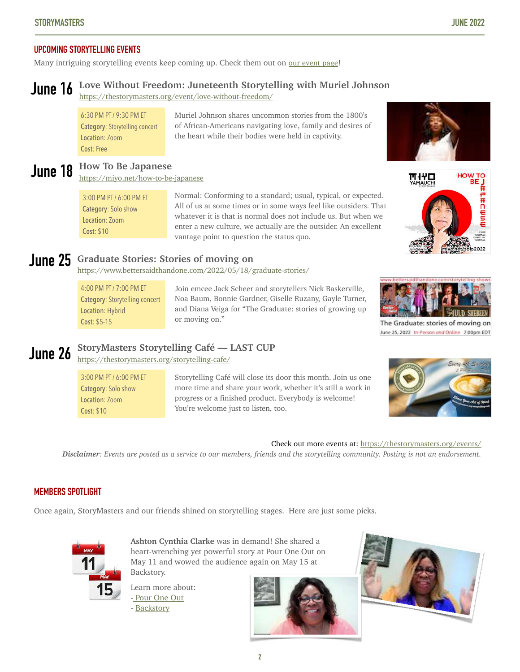# **UPCOMING STORYTELLING EVENTS**

Many intriguing storytelling events keep coming up. Check them out on <u>[our event page](https://thestorymasters.org/events/)</u>!

#### **Love Without Freedom: Juneteenth Storytelling with Muriel Johnson June 16**

<https://thestorymasters.org/event/love-without-freedom/>

6:30 PM PT / 9:30 PM ET Category: Storytelling concert Location: Zoom Cost: Free

# June 18 How To Be Japanese

<https://miyo.net/how-to-be-japanese>

3:00 PM PT / 6:00 PM ET Category: Solo show Location: Zoom Cost: \$10

of African-Americans navigating love, family and desires of the heart while their bodies were held in captivity.

Muriel Johnson shares uncommon stories from the 1800's

Normal: Conforming to a standard; usual, typical, or expected. All of us at some times or in some ways feel like outsiders. That whatever it is that is normal does not include us. But when we enter a new culture, we actually are the outsider. An excellent vantage point to question the status quo.

# **June 25** Graduate Stories: Stories of moving on<br>https://www.battarcaidthandone.com/2022/05/18/

<https://www.bettersaidthandone.com/2022/05/18/graduate-stories/>

4:00 PM PT / 7:00 PM ET Category: Storytelling concert Location: Hybrid Cost: \$5-15

Join emcee Jack Scheer and storytellers Nick Baskerville, Noa Baum, Bonnie Gardner, Giselle Ruzany, Gayle Turner, and Diana Veiga for "The Graduate: stories of growing up or moving on."

#### **StoryMasters Storytelling Café — LAST CUP June 26**

<https://thestorymasters.org/storytelling-cafe/>

3:00 PM PT / 6:00 PM ET Category: Solo show Location: Zoom Cost: \$10

Storytelling Café will close its door this month. Join us one more time and share your work, whether it's still a work in progress or a finished product. Everybody is welcome! You're welcome just to listen, too.



*Disclaimer: Events are posted as a service to our members, friends and the storytelling community. Posting is not an endorsement.*

# **MEMBERS SPOTLIGHT**

Once again, StoryMasters and our friends shined on storytelling stages. Here are just some picks.



**Ashton Cynthia Clarke** was in demand! She shared a heart-wrenching yet powerful story at Pour One Out on May 11 and wowed the audience again on May 15 at Backstory.

Learn more about: - [Pour One Out](https://renegadeadacheng.com/pour-one-out/) - [Backstory](https://www.thevictorytheatrecenter.org/tickets-events/backstory)









The Graduate: stories of moving on June 25, 2022 In-Person and Online 7:00pm EDT

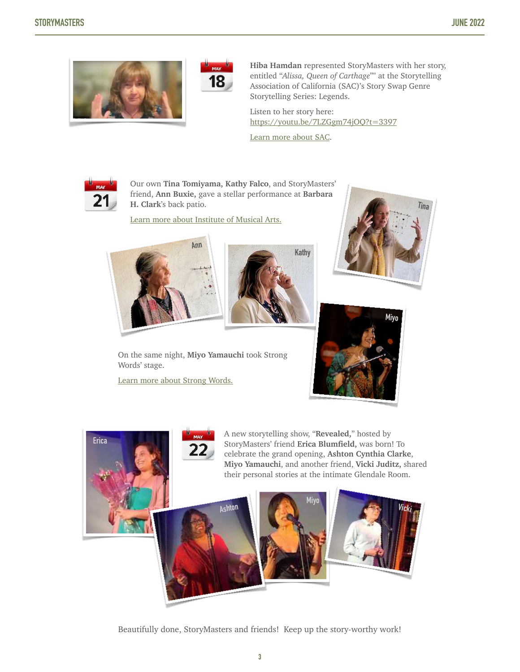



**Hiba Hamdan** represented StoryMasters with her story, entitled "*Alissa, Queen of Carthage*"" at the Storytelling Association of California (SAC)'s Story Swap Genre Storytelling Series: Legends.

Listen to her story here: <https://youtu.be/7LZGgm74jOQ?t=3397>

[Learn more about SAC](http://www.apple.com).



Our own **Tina Tomiyama, Kathy Falco**, and StoryMasters' friend, **Ann Buxie,** gave a stellar performance at **Barbara H. Clark**'s back patio.

[Learn more about Institute of Musical Arts.](http://imalosangeles.com/about-the-ima/)





On the same night, **Miyo Yamauchi** took Strong Words' stage.

[Learn more about Strong Words.](https://strongwordslive.com/)







Beautifully done, StoryMasters and friends! Keep up the story-worthy work!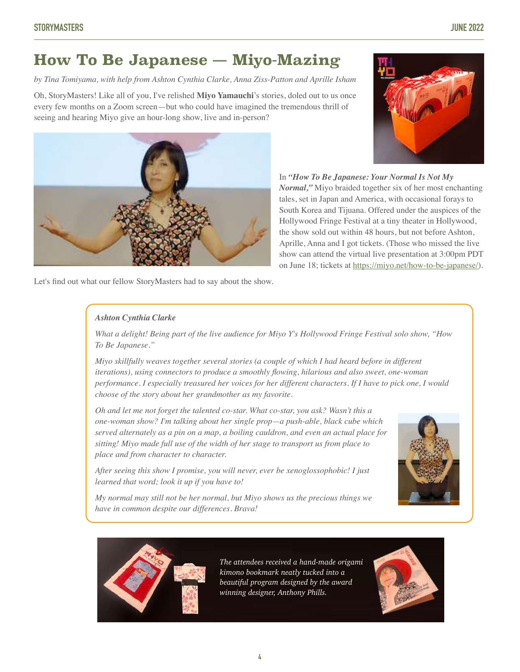# **How To Be Japanese — Miyo-Mazing**

*by Tina Tomiyama, with help from Ashton Cynthia Clarke, Anna Ziss-Patton and Aprille Isham* 

Oh, StoryMasters! Like all of you, I've relished **Miyo Yamauchi**'s stories, doled out to us once every few months on a Zoom screen—but who could have imagined the tremendous thrill of seeing and hearing Miyo give an hour-long show, live and in-person?



In *"How To Be Japanese: Your Normal Is Not My Normal,"* Miyo braided together six of her most enchanting tales, set in Japan and America, with occasional forays to South Korea and Tijuana. Offered under the auspices of the Hollywood Fringe Festival at a tiny theater in Hollywood, the show sold out within 48 hours, but not before Ashton, Aprille, Anna and I got tickets. (Those who missed the live show can attend the virtual live presentation at 3:00pm PDT on June 18; tickets at <https://miyo.net/how-to-be-japanese/>).

Let's find out what our fellow StoryMasters had to say about the show.

## *Ashton Cynthia Clarke*

*What a delight! Being part of the live audience for Miyo Y's Hollywood Fringe Festival solo show, "How To Be Japanese."* 

*Miyo skillfully weaves together several stories (a couple of which I had heard before in different iterations), using connectors to produce a smoothly flowing, hilarious and also sweet, one-woman performance. I especially treasured her voices for her different characters. If I have to pick one, I would choose of the story about her grandmother as my favorite.* 

*Oh and let me not forget the talented co-star. What co-star, you ask? Wasn't this a one-woman show? I'm talking about her single prop—a push-able, black cube which served alternately as a pin on a map, a boiling cauldron, and even an actual place for sitting! Miyo made full use of the width of her stage to transport us from place to place and from character to character.* 

*After seeing this show I promise, you will never, ever be xenoglossophobic! I just learned that word; look it up if you have to!* 

*My normal may still not be her normal, but Miyo shows us the precious things we have in common despite our differences. Brava!*





*The attendees received a hand-made origami kimono bookmark neatly tucked into a beautiful program designed by the award winning designer, Anthony Phills.*

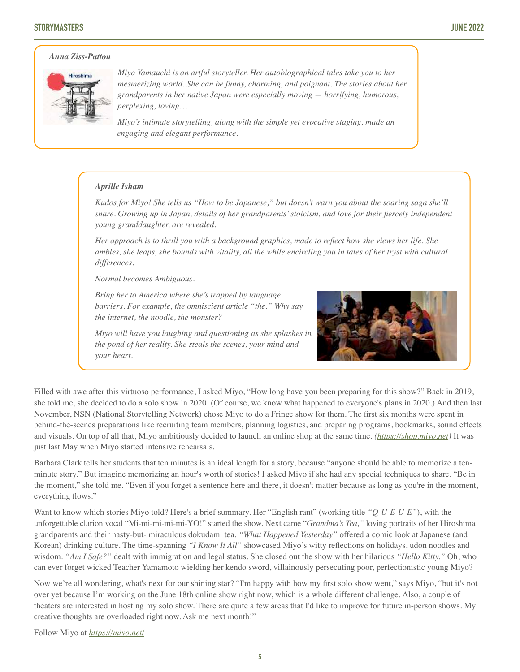# **STORYMASTERS JUNE 2022**

# *Anna Ziss-Patton*



*Miyo Yamauchi is an artful storyteller. Her autobiographical tales take you to her mesmerizing world. She can be funny, charming, and poignant. The stories about her grandparents in her native Japan were especially moving — horrifying, humorous, perplexing, loving…*

*Miyo's intimate storytelling, along with the simple yet evocative staging, made an engaging and elegant performance.* 

#### *Aprille Isham*

*Kudos for Miyo! She tells us "How to be Japanese," but doesn't warn you about the soaring saga she'll share. Growing up in Japan, details of her grandparents' stoicism, and love for their fiercely independent young granddaughter, are revealed.* 

*Her approach is to thrill you with a background graphics, made to reflect how she views her life. She ambles, she leaps, she bounds with vitality, all the while encircling you in tales of her tryst with cultural differences.* 

*Normal becomes Ambiguous.* 

*Bring her to America where she's trapped by language barriers. For example, the omniscient article "the." Why say the internet, the noodle, the monster?* 



*Miyo will have you laughing and questioning as she splashes in the pond of her reality. She steals the scenes, your mind and your heart.* 

Filled with awe after this virtuoso performance, I asked Miyo, "How long have you been preparing for this show?" Back in 2019, she told me, she decided to do a solo show in 2020. (Of course, we know what happened to everyone's plans in 2020.) And then last November, NSN (National Storytelling Network) chose Miyo to do a Fringe show for them. The first six months were spent in behind-the-scenes preparations like recruiting team members, planning logistics, and preparing programs, bookmarks, sound effects and visuals. On top of all that, Miyo ambitiously decided to launch an online shop at the same time. *[\(https://shop.miyo.net](https://shop.miyo.net))* It was just last May when Miyo started intensive rehearsals.

Barbara Clark tells her students that ten minutes is an ideal length for a story, because "anyone should be able to memorize a tenminute story." But imagine memorizing an hour's worth of stories! I asked Miyo if she had any special techniques to share. "Be in the moment," she told me. "Even if you forget a sentence here and there, it doesn't matter because as long as you're in the moment, everything flows."

Want to know which stories Miyo told? Here's a brief summary. Her "English rant" (working title *"Q-U-E-U-E"*), with the unforgettable clarion vocal "Mi-mi-mi-mi-mi-YO!" started the show. Next came "*Grandma's Tea,"* loving portraits of her Hiroshima grandparents and their nasty-but- miraculous dokudami tea. *"What Happened Yesterday"* offered a comic look at Japanese (and Korean) drinking culture. The time-spanning *"I Know It All"* showcased Miyo's witty reflections on holidays, udon noodles and wisdom. *"Am I Safe?"* dealt with immigration and legal status. She closed out the show with her hilarious *"Hello Kitty."* Oh, who can ever forget wicked Teacher Yamamoto wielding her kendo sword, villainously persecuting poor, perfectionistic young Miyo?

Now we're all wondering, what's next for our shining star? "I'm happy with how my first solo show went," says Miyo, "but it's not over yet because I'm working on the June 18th online show right now, which is a whole different challenge. Also, a couple of theaters are interested in hosting my solo show. There are quite a few areas that I'd like to improve for future in-person shows. My creative thoughts are overloaded right now. Ask me next month!"

Follow Miyo at *<https://miyo.net/>*